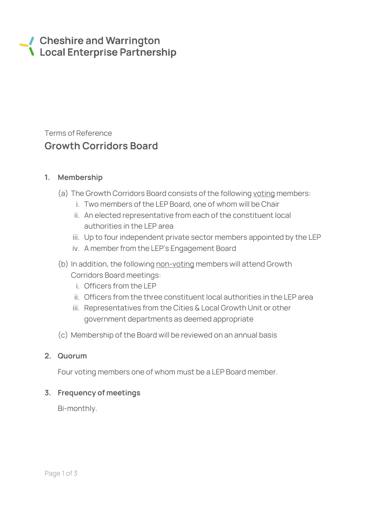# Cheshire and Warrington **\** Local Enterprise Partnership

# Terms of Reference Growth Corridors Board

### 1. Membership

- (a) The Growth Corridors Board consists of the following voting members:
	- i. Two members of the LEP Board, one of whom will be Chair
	- ii. An elected representative from each of the constituent local authorities in the LEP area
	- iii. Up to four independent private sector members appointed by the LEP
	- iv. A member from the LEP's Engagement Board
- (b) In addition, the following non-voting members will attend Growth Corridors Board meetings:
	- i. Officers from the LEP
	- ii. Officers from the three constituent local authorities in the LEP area
	- iii. Representatives from the Cities & Local Growth Unit or other government departments as deemed appropriate
- (c) Membership of the Board will be reviewed on an annual basis

### 2. Quorum

Four voting members one of whom must be a LEP Board member.

## 3. Frequency of meetings

Bi-monthly.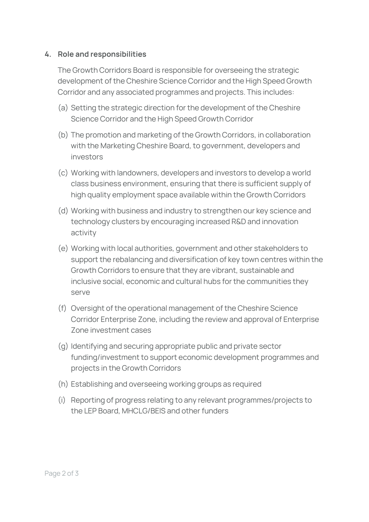#### 4. Role and responsibilities

The Growth Corridors Board is responsible for overseeing the strategic development of the Cheshire Science Corridor and the High Speed Growth Corridor and any associated programmes and projects. This includes:

- (a) Setting the strategic direction for the development of the Cheshire Science Corridor and the High Speed Growth Corridor
- (b) The promotion and marketing of the Growth Corridors, in collaboration with the Marketing Cheshire Board, to government, developers and investors
- (c) Working with landowners, developers and investors to develop a world class business environment, ensuring that there is sufficient supply of high quality employment space available within the Growth Corridors
- (d) Working with business and industry to strengthen our key science and technology clusters by encouraging increased R&D and innovation activity
- (e) Working with local authorities, government and other stakeholders to support the rebalancing and diversification of key town centres within the Growth Corridors to ensure that they are vibrant, sustainable and inclusive social, economic and cultural hubs for the communities they serve
- (f) Oversight of the operational management of the Cheshire Science Corridor Enterprise Zone, including the review and approval of Enterprise Zone investment cases
- (g) Identifying and securing appropriate public and private sector funding/investment to support economic development programmes and projects in the Growth Corridors
- (h) Establishing and overseeing working groups as required
- (i) Reporting of progress relating to any relevant programmes/projects to the LEP Board, MHCLG/BEIS and other funders